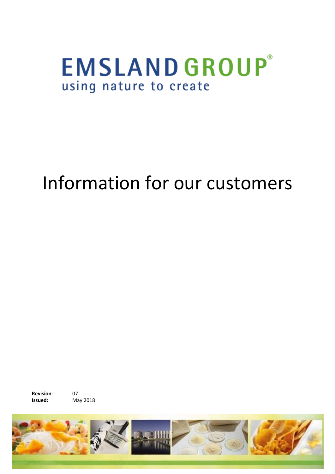## **EMSLANDGROUP®** using nature to create

# Information for our customers

**Revision**: 07 **Issued:** May 2018

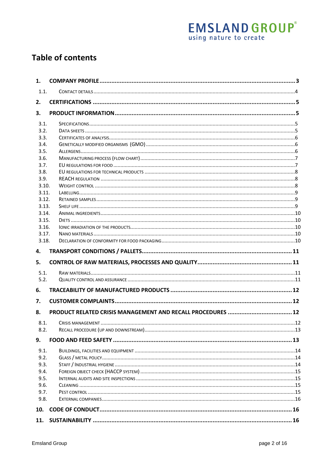# **EMSLAND GROUP**<sup>®</sup><br>using nature to create

## **Table of contents**

| 1.             |  |
|----------------|--|
| 1.1.           |  |
| 2.             |  |
| 3.             |  |
| 3.1.           |  |
| 3.2.           |  |
| 3.3.           |  |
| 3.4.           |  |
| 3.5.           |  |
| 3.6.           |  |
| 3.7.           |  |
| 3.8.           |  |
| 3.9.           |  |
| 3.10.          |  |
| 3.11.          |  |
| 3.12.          |  |
| 3.13.          |  |
| 3.14.          |  |
| 3.15.          |  |
| 3.16.<br>3.17. |  |
| 3.18.          |  |
|                |  |
| 4.             |  |
| 5.             |  |
| 5.1.           |  |
| 5.2.           |  |
| 6.             |  |
| 7.             |  |
| 8.             |  |
| 8.1.           |  |
| 8.2.           |  |
| 9.             |  |
| 9.1.           |  |
| 9.2.           |  |
| 9.3.           |  |
| 9.4.           |  |
| 9.5.           |  |
| 9.6.           |  |
| 9.7.           |  |
| 9.8.           |  |
| 10.            |  |
| 11.            |  |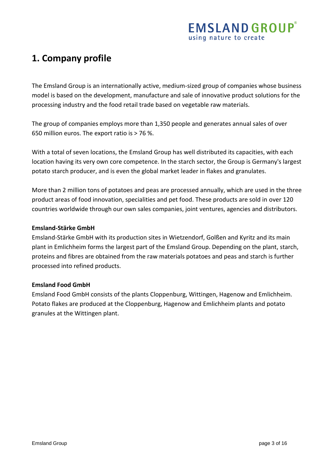## <span id="page-2-0"></span>**1. Company profile**

The Emsland Group is an internationally active, medium-sized group of companies whose business model is based on the development, manufacture and sale of innovative product solutions for the processing industry and the food retail trade based on vegetable raw materials.

The group of companies employs more than 1,350 people and generates annual sales of over 650 million euros. The export ratio is > 76 %.

With a total of seven locations, the Emsland Group has well distributed its capacities, with each location having its very own core competence. In the starch sector, the Group is Germany's largest potato starch producer, and is even the global market leader in flakes and granulates.

More than 2 million tons of potatoes and peas are processed annually, which are used in the three product areas of food innovation, specialities and pet food. These products are sold in over 120 countries worldwide through our own sales companies, joint ventures, agencies and distributors.

#### **Emsland-Stärke GmbH**

Emsland-Stärke GmbH with its production sites in Wietzendorf, Golßen and Kyritz and its main plant in Emlichheim forms the largest part of the Emsland Group. Depending on the plant, starch, proteins and fibres are obtained from the raw materials potatoes and peas and starch is further processed into refined products.

#### **Emsland Food GmbH**

Emsland Food GmbH consists of the plants Cloppenburg, Wittingen, Hagenow and Emlichheim. Potato flakes are produced at the Cloppenburg, Hagenow and Emlichheim plants and potato granules at the Wittingen plant.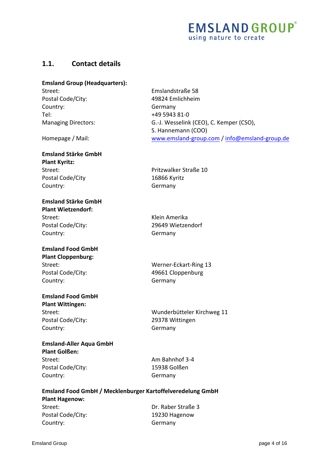#### <span id="page-3-0"></span>**1.1. Contact details**

#### **Emsland Group (Headquarters):**

Postal Code/City: 49824 Emlichheim Country: Germany Tel: Managing Directors:

Homepage / Mail:

#### **Emsland Stärke GmbH Plant Kyritz:**  Street: Pritzwalker Straße 10 Postal Code/City 16866 Kyritz Country: Germany

#### **Emsland Stärke GmbH Plant Wietzendorf:**

Street: Klein Amerika Country: Germany

#### **Emsland Food GmbH Plant Cloppenburg:**  Postal Code/City: 49661 Cloppenburg Country: Germany

## **Emsland Food GmbH**

**Plant Wittingen:**  Postal Code/City: 29378 Wittingen Country: Germany

#### **Emsland-Aller Aqua GmbH Plant Golßen:**  Street: Am Bahnhof 3-4

Postal Code/City: 15938 Golßen Country: Germany

Street: Emslandstraße 58 +49 5943 81-0 G.-J. Wesselink (CEO), C. Kemper (CSO), S. Hannemann (COO) [www.emsland-group.com](http://www.emsland-group.com/) / [info@emsland-group.de](mailto:info@emsland-group.de)

Postal Code/City: 29649 Wietzendorf

Street: Werner-Eckart-Ring 13

Street: Wunderbütteler Kirchweg 11

**Emsland Food GmbH / Mecklenburger Kartoffelveredelung GmbH Plant Hagenow:**  Street: Dr. Raber Straße 3 Postal Code/City: 19230 Hagenow Country: Germany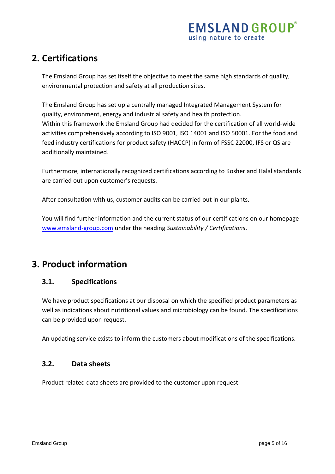## <span id="page-4-0"></span>**2. Certifications**

The Emsland Group has set itself the objective to meet the same high standards of quality, environmental protection and safety at all production sites.

The Emsland Group has set up a centrally managed Integrated Management System for quality, environment, energy and industrial safety and health protection. Within this framework the Emsland Group had decided for the certification of all world-wide activities comprehensively according to ISO 9001, ISO 14001 and ISO 50001. For the food and feed industry certifications for product safety (HACCP) in form of FSSC 22000, IFS or QS are additionally maintained.

Furthermore, internationally recognized certifications according to Kosher and Halal standards are carried out upon customer's requests.

After consultation with us, customer audits can be carried out in our plants.

You will find further information and the current status of our certifications on our homepage [www.emsland-group.com](http://www.emsland-group.com/) under the heading *Sustainability / Certifications*.

## <span id="page-4-2"></span><span id="page-4-1"></span>**3. Product information**

#### **3.1. Specifications**

We have product specifications at our disposal on which the specified product parameters as well as indications about nutritional values and microbiology can be found. The specifications can be provided upon request.

An updating service exists to inform the customers about modifications of the specifications.

#### <span id="page-4-3"></span>**3.2. Data sheets**

Product related data sheets are provided to the customer upon request.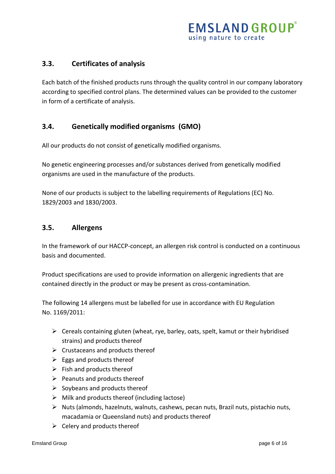#### <span id="page-5-0"></span>**3.3. Certificates of analysis**

Each batch of the finished products runs through the quality control in our company laboratory according to specified control plans. The determined values can be provided to the customer in form of a certificate of analysis.

#### <span id="page-5-1"></span>**3.4. Genetically modified organisms (GMO)**

All our products do not consist of genetically modified organisms.

No genetic engineering processes and/or substances derived from genetically modified organisms are used in the manufacture of the products.

None of our products is subject to the labelling requirements of Regulations (EC) No. 1829/2003 and 1830/2003.

#### <span id="page-5-2"></span>**3.5. Allergens**

In the framework of our HACCP-concept, an allergen risk control is conducted on a continuous basis and documented.

Product specifications are used to provide information on allergenic ingredients that are contained directly in the product or may be present as cross-contamination.

The following 14 allergens must be labelled for use in accordance with EU Regulation No. 1169/2011:

- $\triangleright$  Cereals containing gluten (wheat, rye, barley, oats, spelt, kamut or their hybridised strains) and products thereof
- $\triangleright$  Crustaceans and products thereof
- $\triangleright$  Eggs and products thereof
- $\triangleright$  Fish and products thereof
- $\triangleright$  Peanuts and products thereof
- $\triangleright$  Soybeans and products thereof
- $\triangleright$  Milk and products thereof (including lactose)
- $\triangleright$  Nuts (almonds, hazelnuts, walnuts, cashews, pecan nuts, Brazil nuts, pistachio nuts, macadamia or Queensland nuts) and products thereof
- $\triangleright$  Celery and products thereof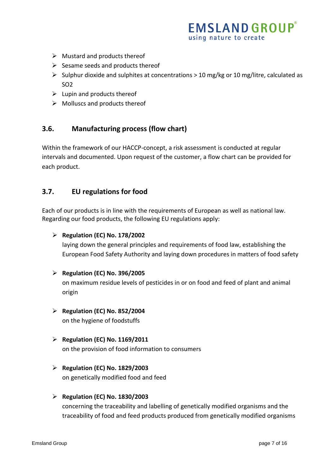## **EMSLAND GROUP**® using nature to create

- $\triangleright$  Mustard and products thereof
- $\triangleright$  Sesame seeds and products thereof
- $\triangleright$  Sulphur dioxide and sulphites at concentrations > 10 mg/kg or 10 mg/litre, calculated as SO2
- $\triangleright$  Lupin and products thereof
- $\triangleright$  Molluscs and products thereof

#### <span id="page-6-0"></span>**3.6. Manufacturing process (flow chart)**

Within the framework of our HACCP-concept, a risk assessment is conducted at regular intervals and documented. Upon request of the customer, a flow chart can be provided for each product.

#### <span id="page-6-1"></span>**3.7. EU regulations for food**

Each of our products is in line with the requirements of European as well as national law. Regarding our food products, the following EU regulations apply:

#### **Regulation (EC) No. 178/2002**

laying down the general principles and requirements of food law, establishing the European Food Safety Authority and laying down procedures in matters of food safety

#### **Regulation (EC) No. 396/2005**

on maximum residue levels of pesticides in or on food and feed of plant and animal origin

- **Regulation (EC) No. 852/2004** on the hygiene of foodstuffs
- **Regulation (EC) No. 1169/2011** on the provision of food information to consumers
- **Regulation (EC) No. 1829/2003**

on genetically modified food and feed

#### **Regulation (EC) No. 1830/2003**

concerning the traceability and labelling of genetically modified organisms and the traceability of food and feed products produced from genetically modified organisms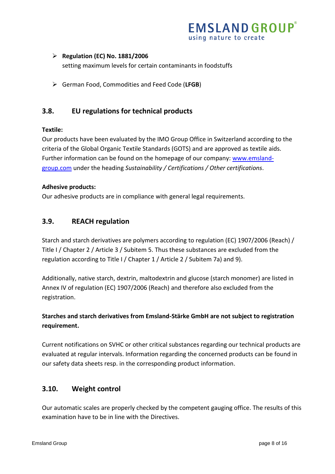## **EMSLAND GROUP** using nature to create

#### **Regulation (EC) No. 1881/2006**

setting maximum levels for certain contaminants in foodstuffs

German Food, Commodities and Feed Code (**LFGB**)

#### <span id="page-7-0"></span>**3.8. EU regulations for technical products**

#### **Textile:**

Our products have been evaluated by the IMO Group Office in Switzerland according to the criteria of the Global Organic Textile Standards (GOTS) and are approved as textile aids. Further information can be found on the homepage of our company: [www.emsland](http://www.emsland-group.com/)[group.com](http://www.emsland-group.com/) under the heading *Sustainability / Certifications / Other certifications*.

#### **Adhesive products:**

Our adhesive products are in compliance with general legal requirements.

#### <span id="page-7-1"></span>**3.9. REACH regulation**

Starch and starch derivatives are polymers according to regulation (EC) 1907/2006 (Reach) / Title I / Chapter 2 / Article 3 / Subitem 5. Thus these substances are excluded from the regulation according to Title I / Chapter 1 / Article 2 / Subitem 7a) and 9).

Additionally, native starch, dextrin, maltodextrin and glucose (starch monomer) are listed in Annex IV of regulation (EC) 1907/2006 (Reach) and therefore also excluded from the registration.

#### **Starches and starch derivatives from Emsland-Stärke GmbH are not subject to registration requirement.**

Current notifications on SVHC or other critical substances regarding our technical products are evaluated at regular intervals. Information regarding the concerned products can be found in our safety data sheets resp. in the corresponding product information.

#### <span id="page-7-2"></span>**3.10. Weight control**

Our automatic scales are properly checked by the competent gauging office. The results of this examination have to be in line with the Directives.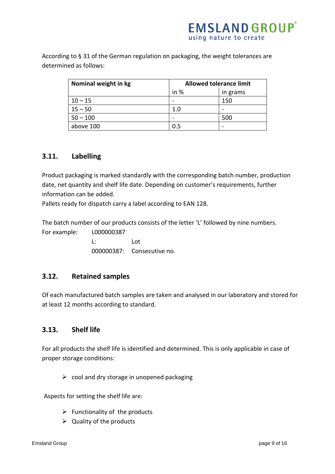According to § 31 of the German regulation on packaging, the weight tolerances are determined as follows:

| Nominal weight in kg | <b>Allowed tolerance limit</b> |          |  |
|----------------------|--------------------------------|----------|--|
|                      | in %                           | in grams |  |
| $10 - 15$            |                                | 150      |  |
| $15 - 50$            | 1.0                            |          |  |
| $50 - 100$           |                                | 500      |  |
| above 100            | 0.5                            |          |  |

#### <span id="page-8-0"></span>**3.11. Labelling**

Product packaging is marked standardly with the corresponding batch number, production date, net quantity and shelf life date. Depending on customer's requirements, further information can be added.

Pallets ready for dispatch carry a label according to EAN 128.

The batch number of our products consists of the letter 'L' followed by nine numbers. For example: L000000387

 L: Lot 000000387: Consecutive no.

#### <span id="page-8-1"></span>**3.12. Retained samples**

Of each manufactured batch samples are taken and analysed in our laboratory and stored for at least 12 months according to standard.

#### <span id="page-8-2"></span>**3.13. Shelf life**

For all products the shelf life is identified and determined. This is only applicable in case of proper storage conditions:

 $\triangleright$  cool and dry storage in unopened packaging

Aspects for setting the shelf life are:

- $\triangleright$  Functionality of the products
- $\triangleright$  Quality of the products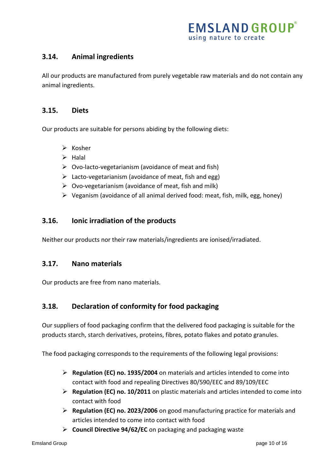#### <span id="page-9-0"></span>**3.14. Animal ingredients**

All our products are manufactured from purely vegetable raw materials and do not contain any animal ingredients.

#### <span id="page-9-1"></span>**3.15. Diets**

Our products are suitable for persons abiding by the following diets:

- $\triangleright$  Kosher
- $\triangleright$  Halal
- $\triangleright$  Ovo-lacto-vegetarianism (avoidance of meat and fish)
- $\triangleright$  Lacto-vegetarianism (avoidance of meat, fish and egg)
- $\triangleright$  Ovo-vegetarianism (avoidance of meat, fish and milk)
- $\triangleright$  Veganism (avoidance of all animal derived food: meat, fish, milk, egg, honey)

#### <span id="page-9-2"></span>**3.16. Ionic irradiation of the products**

Neither our products nor their raw materials/ingredients are ionised/irradiated.

#### <span id="page-9-3"></span>**3.17. Nano materials**

Our products are free from nano materials.

#### <span id="page-9-4"></span>**3.18. Declaration of conformity for food packaging**

Our suppliers of food packaging confirm that the delivered food packaging is suitable for the products starch, starch derivatives, proteins, fibres, potato flakes and potato granules.

The food packaging corresponds to the requirements of the following legal provisions:

- **Regulation (EC) no. 1935/2004** on materials and articles intended to come into contact with food and repealing Directives 80/590/EEC and 89/109/EEC
- **Regulation (EC) no. 10/2011** on plastic materials and articles intended to come into contact with food
- **Regulation (EC) no. 2023/2006** on good manufacturing practice for materials and articles intended to come into contact with food
- **Council Directive 94/62/EC** on packaging and packaging waste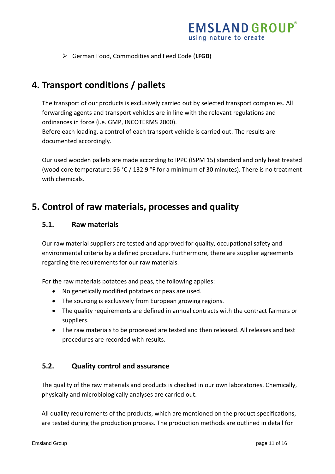German Food, Commodities and Feed Code (**LFGB**)

## <span id="page-10-0"></span>**4. Transport conditions / pallets**

The transport of our products is exclusively carried out by selected transport companies. All forwarding agents and transport vehicles are in line with the relevant regulations and ordinances in force (i.e. GMP, INCOTERMS 2000).

Before each loading, a control of each transport vehicle is carried out. The results are documented accordingly.

Our used wooden pallets are made according to IPPC (ISPM 15) standard and only heat treated (wood core temperature: 56 °C / 132.9 °F for a minimum of 30 minutes). There is no treatment with chemicals.

## <span id="page-10-2"></span><span id="page-10-1"></span>**5. Control of raw materials, processes and quality**

#### **5.1. Raw materials**

Our raw material suppliers are tested and approved for quality, occupational safety and environmental criteria by a defined procedure. Furthermore, there are supplier agreements regarding the requirements for our raw materials.

For the raw materials potatoes and peas, the following applies:

- No genetically modified potatoes or peas are used.
- The sourcing is exclusively from European growing regions.
- The quality requirements are defined in annual contracts with the contract farmers or suppliers.
- The raw materials to be processed are tested and then released. All releases and test procedures are recorded with results.

#### <span id="page-10-3"></span>**5.2. Quality control and assurance**

The quality of the raw materials and products is checked in our own laboratories. Chemically, physically and microbiologically analyses are carried out.

All quality requirements of the products, which are mentioned on the product specifications, are tested during the production process. The production methods are outlined in detail for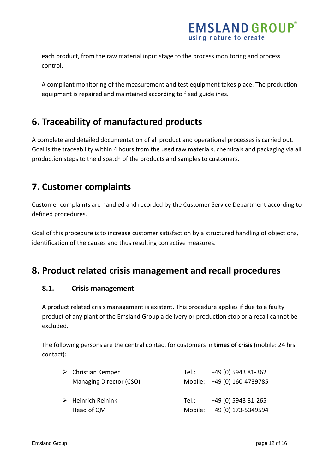each product, from the raw material input stage to the process monitoring and process control.

A compliant monitoring of the measurement and test equipment takes place. The production equipment is repaired and maintained according to fixed guidelines.

## <span id="page-11-0"></span>**6. Traceability of manufactured products**

A complete and detailed documentation of all product and operational processes is carried out. Goal is the traceability within 4 hours from the used raw materials, chemicals and packaging via all production steps to the dispatch of the products and samples to customers.

## <span id="page-11-1"></span>**7. Customer complaints**

Customer complaints are handled and recorded by the Customer Service Department according to defined procedures.

Goal of this procedure is to increase customer satisfaction by a structured handling of objections, identification of the causes and thus resulting corrective measures.

## <span id="page-11-3"></span><span id="page-11-2"></span>**8. Product related crisis management and recall procedures**

#### **8.1. Crisis management**

A product related crisis management is existent. This procedure applies if due to a faulty product of any plant of the Emsland Group a delivery or production stop or a recall cannot be excluded.

The following persons are the central contact for customers in **times of crisis** (mobile: 24 hrs. contact):

| $\triangleright$ Christian Kemper | Tel.:   | +49 (0) 5943 81-362         |
|-----------------------------------|---------|-----------------------------|
| Managing Director (CSO)           |         | Mobile: +49 (0) 160-4739785 |
|                                   |         |                             |
| $\triangleright$ Heinrich Reinink | Tel.: T | +49 (0) 5943 81-265         |
| Head of QM                        |         | Mobile: +49 (0) 173-5349594 |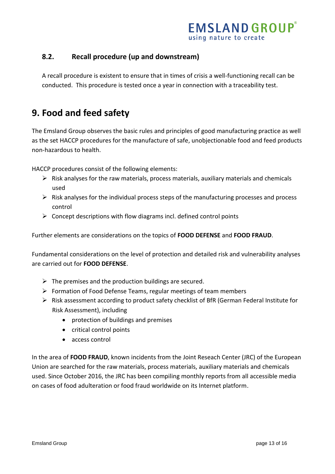#### <span id="page-12-0"></span>**8.2. Recall procedure (up and downstream)**

A recall procedure is existent to ensure that in times of crisis a well-functioning recall can be conducted. This procedure is tested once a year in connection with a traceability test.

## <span id="page-12-1"></span>**9. Food and feed safety**

The Emsland Group observes the basic rules and principles of good manufacturing practice as well as the set HACCP procedures for the manufacture of safe, unobjectionable food and feed products non-hazardous to health.

HACCP procedures consist of the following elements:

- $\triangleright$  Risk analyses for the raw materials, process materials, auxiliary materials and chemicals used
- $\triangleright$  Risk analyses for the individual process steps of the manufacturing processes and process control
- $\triangleright$  Concept descriptions with flow diagrams incl. defined control points

Further elements are considerations on the topics of **FOOD DEFENSE** and **FOOD FRAUD**.

Fundamental considerations on the level of protection and detailed risk and vulnerability analyses are carried out for **FOOD DEFENSE**.

- $\triangleright$  The premises and the production buildings are secured.
- $\triangleright$  Formation of Food Defense Teams, regular meetings of team members
- Risk assessment according to product safety checklist of BfR (German Federal Institute for Risk Assessment), including
	- protection of buildings and premises
	- critical control points
	- access control

In the area of **FOOD FRAUD**, known incidents from the Joint Reseach Center (JRC) of the European Union are searched for the raw materials, process materials, auxiliary materials and chemicals used. Since October 2016, the JRC has been compiling monthly reports from all accessible media on cases of food adulteration or food fraud worldwide on its Internet platform.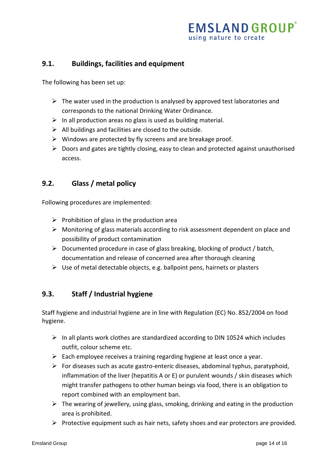#### <span id="page-13-0"></span>**9.1. Buildings, facilities and equipment**

The following has been set up:

- $\triangleright$  The water used in the production is analysed by approved test laboratories and corresponds to the national Drinking Water Ordinance.
- $\triangleright$  In all production areas no glass is used as building material.
- $\triangleright$  All buildings and facilities are closed to the outside.
- $\triangleright$  Windows are protected by fly screens and are breakage proof.
- $\triangleright$  Doors and gates are tightly closing, easy to clean and protected against unauthorised access.

#### <span id="page-13-1"></span>**9.2. Glass / metal policy**

Following procedures are implemented:

- $\triangleright$  Prohibition of glass in the production area
- Monitoring of glass materials according to risk assessment dependent on place and possibility of product contamination
- $\triangleright$  Documented procedure in case of glass breaking, blocking of product / batch, documentation and release of concerned area after thorough cleaning
- $\triangleright$  Use of metal detectable objects, e.g. ballpoint pens, hairnets or plasters

#### <span id="page-13-2"></span>**9.3. Staff / Industrial hygiene**

Staff hygiene and industrial hygiene are in line with Regulation (EC) No. 852/2004 on food hygiene.

- $\triangleright$  In all plants work clothes are standardized according to DIN 10524 which includes outfit, colour scheme etc.
- $\triangleright$  Each employee receives a training regarding hygiene at least once a year.
- $\triangleright$  For diseases such as acute gastro-enteric diseases, abdominal typhus, paratyphoid, inflammation of the liver (hepatitis A or E) or purulent wounds / skin diseases which might transfer pathogens to other human beings via food, there is an obligation to report combined with an employment ban.
- $\triangleright$  The wearing of jewellery, using glass, smoking, drinking and eating in the production area is prohibited.
- $\triangleright$  Protective equipment such as hair nets, safety shoes and ear protectors are provided.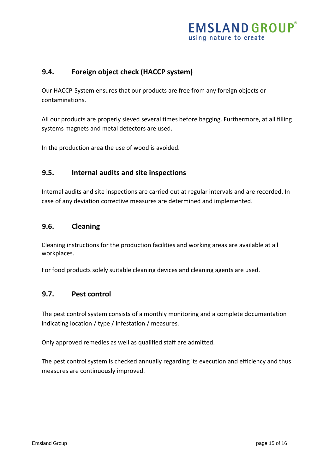#### <span id="page-14-0"></span>**9.4. Foreign object check (HACCP system)**

Our HACCP-System ensures that our products are free from any foreign objects or contaminations.

All our products are properly sieved several times before bagging. Furthermore, at all filling systems magnets and metal detectors are used.

In the production area the use of wood is avoided.

#### <span id="page-14-1"></span>**9.5. Internal audits and site inspections**

Internal audits and site inspections are carried out at regular intervals and are recorded. In case of any deviation corrective measures are determined and implemented.

#### <span id="page-14-2"></span>**9.6. Cleaning**

Cleaning instructions for the production facilities and working areas are available at all workplaces.

For food products solely suitable cleaning devices and cleaning agents are used.

#### <span id="page-14-3"></span>**9.7. Pest control**

The pest control system consists of a monthly monitoring and a complete documentation indicating location / type / infestation / measures.

Only approved remedies as well as qualified staff are admitted.

The pest control system is checked annually regarding its execution and efficiency and thus measures are continuously improved.